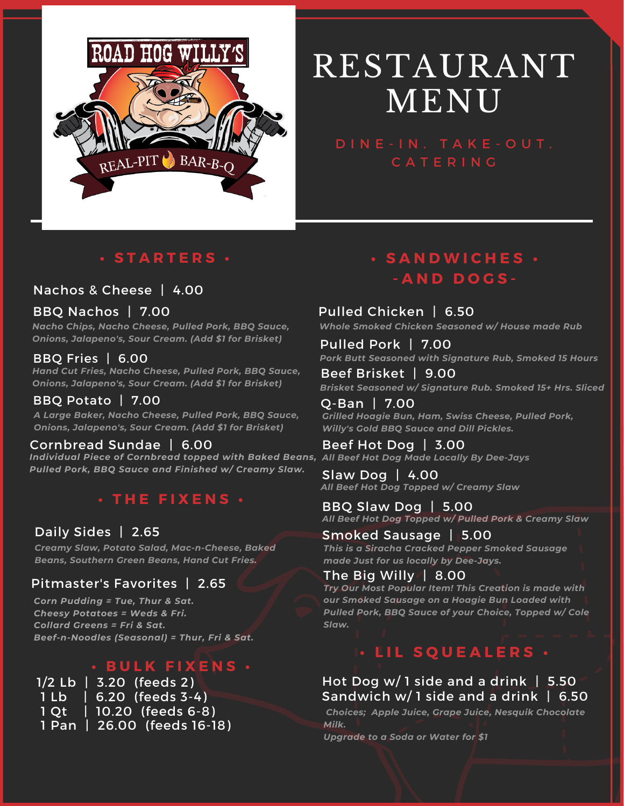

# RESTAURANT MENU

C A T E R I N G

### **• S T A R T E R S •**

#### Nachos & Cheese | 4.00

#### BBQ Nachos | 7.00

*Nacho Chips, Nacho Cheese, Pulled Pork, BBQ Sauce, Onions, Jalapeno's, Sour Cream. (Add \$1 for Brisket)*

#### BBQ Fries | 6.00

*Hand Cut Fries, Nacho Cheese, Pulled Pork, BBQ Sauce, Onions, Jalapeno's, Sour Cream. (Add \$1 for Brisket)*

#### BBQ Potato | 7.00

*A Large Baker, Nacho Cheese, Pulled Pork, BBQ Sauce, Onions, Jalapeno's, Sour Cream. (Add \$1 for Brisket)*

#### Cornbread Sundae | 6.00 Beef Hot Dog | 3.00

*Individual Piece of Cornbread topped with Baked Beans, All Beef Hot Dog Made Locally By Dee-Jays Pulled Pork, BBQ Sauce and Finished w/ Creamy Slaw.*

#### **• T H E F I X E N S •**

#### Daily Sides | 2.65

*Creamy Slaw, Potato Salad, Mac-n-Cheese, Baked Beans, Southern Green Beans, Hand Cut Fries.*

#### Pitmaster's Favorites | 2.65

*Corn Pudding = Tue, Thur & Sat. Cheesy Potatoes = Weds & Fri. Collard Greens = Fri & Sat. Beef-n-Noodles (Seasonal) = Thur, Fri & Sat.*

## **• B U L K F I X E N S •**

| 1/2 Lb   3.20 (feeds 2)     |
|-----------------------------|
| $1 Lb$   6.20 (feeds 3-4)   |
| 1 Qt   10.20 (feeds 6-8)    |
| 1 Pan   26.00 (feeds 16-18) |

## **• S A N D W I C H E S • - A N D D O G S -**

#### Pulled Chicken | 6.50

*Whole Smoked Chicken Seasoned w/ House made Rub*

Pulled Pork | 7.00 *Pork Butt Seasoned with Signature Rub, Smoked 15 Hours*

Beef Brisket | 9.00 *Brisket Seasoned w/ Signature Rub. Smoked 15+ Hrs. Sliced*

Q-Ban | 7.00 *Grilled Hoagie Bun, Ham, Swiss Cheese, Pulled Pork, Willy's Gold BBQ Sauce and Dill Pickles.*

Slaw Dog | 4.00 *All Beef Hot Dog Topped w/ Creamy Slaw*

BBQ Slaw Dog | 5.00 *All Beef Hot Dog Topped w/ Pulled Pork & Creamy Slaw*

Smoked Sausage | 5.00 *This is a Siracha Cracked Pepper Smoked Sausage made Just for us locally by Dee-Jays.*

#### The Big Willy | 8.00 *Try Our Most Popular Item! This Creation is made with our Smoked Sausage on a Hoagie Bun Loaded with Pulled Pork, BBQ Sauce of your Choice, Topped w/ Cole Slaw.*

## **• L I L S Q U E A L E R S •**

Hot Dog w/ 1 side and a drink | 5.50 Sandwich w/ 1 side and a drink | 6.50

*Choices; Apple Juice, Grape Juice, Nesquik Chocolate Milk.*

*Upgrade to a Soda or Water for \$1*